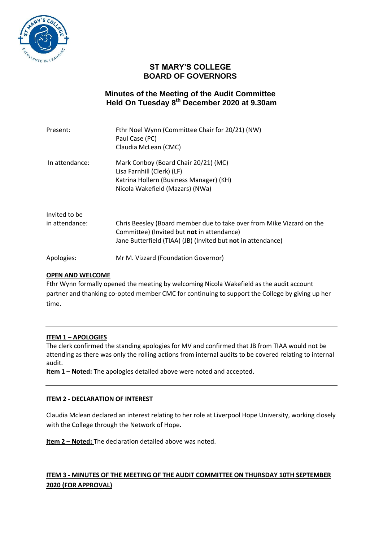

# **ST MARY'S COLLEGE BOARD OF GOVERNORS**

# **Minutes of the Meeting of the Audit Committee Held On Tuesday 8 th December 2020 at 9.30am**

| Present:       | Fthr Noel Wynn (Committee Chair for 20/21) (NW)<br>Paul Case (PC)<br>Claudia McLean (CMC)                                                                                           |
|----------------|-------------------------------------------------------------------------------------------------------------------------------------------------------------------------------------|
| In attendance: | Mark Conboy (Board Chair 20/21) (MC)<br>Lisa Farnhill (Clerk) (LF)<br>Katrina Hollern (Business Manager) (KH)<br>Nicola Wakefield (Mazars) (NWa)                                    |
| Invited to be  |                                                                                                                                                                                     |
| in attendance: | Chris Beesley (Board member due to take over from Mike Vizzard on the<br>Committee) (Invited but not in attendance)<br>Jane Butterfield (TIAA) (JB) (Invited but not in attendance) |
| Apologies:     | Mr M. Vizzard (Foundation Governor)                                                                                                                                                 |

### **OPEN AND WELCOME**

Fthr Wynn formally opened the meeting by welcoming Nicola Wakefield as the audit account partner and thanking co-opted member CMC for continuing to support the College by giving up her time.

## **ITEM 1 – APOLOGIES**

The clerk confirmed the standing apologies for MV and confirmed that JB from TIAA would not be attending as there was only the rolling actions from internal audits to be covered relating to internal audit.

**Item 1 – Noted:** The apologies detailed above were noted and accepted.

### **ITEM 2 - DECLARATION OF INTEREST**

Claudia Mclean declared an interest relating to her role at Liverpool Hope University, working closely with the College through the Network of Hope.

**Item 2 – Noted:** The declaration detailed above was noted.

## **ITEM 3 - MINUTES OF THE MEETING OF THE AUDIT COMMITTEE ON THURSDAY 10TH SEPTEMBER 2020 (FOR APPROVAL)**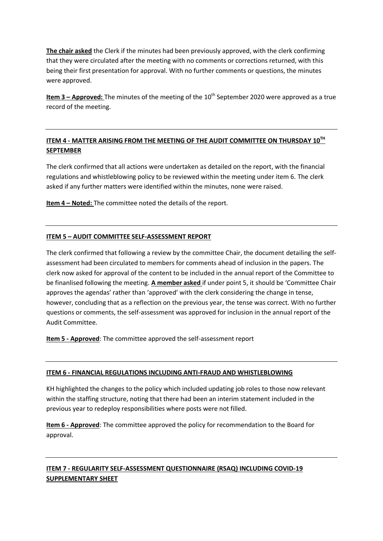**The chair asked** the Clerk if the minutes had been previously approved, with the clerk confirming that they were circulated after the meeting with no comments or corrections returned, with this being their first presentation for approval. With no further comments or questions, the minutes were approved.

**Item 3 – Approved:** The minutes of the meeting of the 10<sup>th</sup> September 2020 were approved as a true record of the meeting.

## **ITEM 4 - MATTER ARISING FROM THE MEETING OF THE AUDIT COMMITTEE ON THURSDAY 10TH SEPTEMBER**

The clerk confirmed that all actions were undertaken as detailed on the report, with the financial regulations and whistleblowing policy to be reviewed within the meeting under item 6. The clerk asked if any further matters were identified within the minutes, none were raised.

**Item 4 – Noted:** The committee noted the details of the report.

### **ITEM 5 – AUDIT COMMITTEE SELF-ASSESSMENT REPORT**

The clerk confirmed that following a review by the committee Chair, the document detailing the selfassessment had been circulated to members for comments ahead of inclusion in the papers. The clerk now asked for approval of the content to be included in the annual report of the Committee to be finanlised following the meeting. **A member asked** if under point 5, it should be 'Committee Chair approves the agendas' rather than 'approved' with the clerk considering the change in tense, however, concluding that as a reflection on the previous year, the tense was correct. With no further questions or comments, the self-assessment was approved for inclusion in the annual report of the Audit Committee.

**Item 5 - Approved**: The committee approved the self-assessment report

### **ITEM 6 - FINANCIAL REGULATIONS INCLUDING ANTI-FRAUD AND WHISTLEBLOWING**

KH highlighted the changes to the policy which included updating job roles to those now relevant within the staffing structure, noting that there had been an interim statement included in the previous year to redeploy responsibilities where posts were not filled.

**Item 6 - Approved**: The committee approved the policy for recommendation to the Board for approval.

# **ITEM 7 - REGULARITY SELF-ASSESSMENT QUESTIONNAIRE (RSAQ) INCLUDING COVID-19 SUPPLEMENTARY SHEET**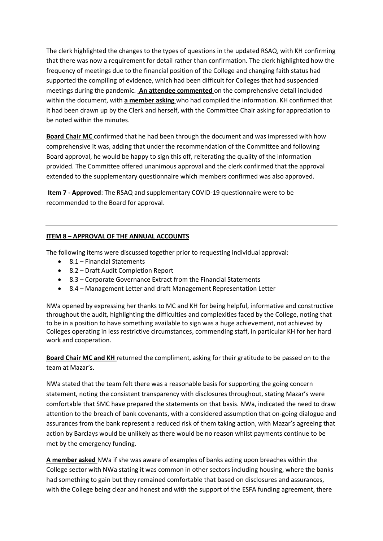The clerk highlighted the changes to the types of questions in the updated RSAQ, with KH confirming that there was now a requirement for detail rather than confirmation. The clerk highlighted how the frequency of meetings due to the financial position of the College and changing faith status had supported the compiling of evidence, which had been difficult for Colleges that had suspended meetings during the pandemic. **An attendee commented** on the comprehensive detail included within the document, with **a member asking** who had compiled the information. KH confirmed that it had been drawn up by the Clerk and herself, with the Committee Chair asking for appreciation to be noted within the minutes.

**Board Chair MC** confirmed that he had been through the document and was impressed with how comprehensive it was, adding that under the recommendation of the Committee and following Board approval, he would be happy to sign this off, reiterating the quality of the information provided. The Committee offered unanimous approval and the clerk confirmed that the approval extended to the supplementary questionnaire which members confirmed was also approved.

**Item 7 - Approved**: The RSAQ and supplementary COVID-19 questionnaire were to be recommended to the Board for approval.

## **ITEM 8 – APPROVAL OF THE ANNUAL ACCOUNTS**

The following items were discussed together prior to requesting individual approval:

- 8.1 Financial Statements
- 8.2 Draft Audit Completion Report
- 8.3 Corporate Governance Extract from the Financial Statements
- 8.4 Management Letter and draft Management Representation Letter

NWa opened by expressing her thanks to MC and KH for being helpful, informative and constructive throughout the audit, highlighting the difficulties and complexities faced by the College, noting that to be in a position to have something available to sign was a huge achievement, not achieved by Colleges operating in less restrictive circumstances, commending staff, in particular KH for her hard work and cooperation.

**Board Chair MC and KH** returned the compliment, asking for their gratitude to be passed on to the team at Mazar's.

NWa stated that the team felt there was a reasonable basis for supporting the going concern statement, noting the consistent transparency with disclosures throughout, stating Mazar's were comfortable that SMC have prepared the statements on that basis. NWa, indicated the need to draw attention to the breach of bank covenants, with a considered assumption that on-going dialogue and assurances from the bank represent a reduced risk of them taking action, with Mazar's agreeing that action by Barclays would be unlikely as there would be no reason whilst payments continue to be met by the emergency funding.

**A member asked** NWa if she was aware of examples of banks acting upon breaches within the College sector with NWa stating it was common in other sectors including housing, where the banks had something to gain but they remained comfortable that based on disclosures and assurances, with the College being clear and honest and with the support of the ESFA funding agreement, there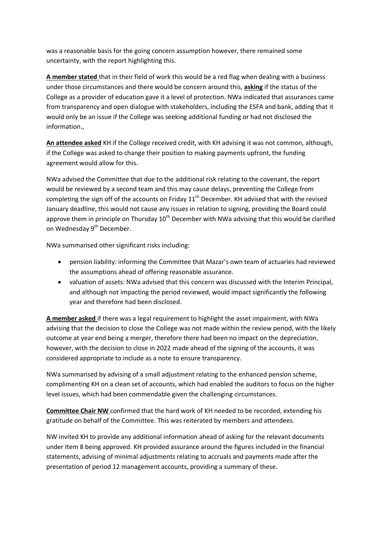was a reasonable basis for the going concern assumption however, there remained some uncertainty, with the report highlighting this.

**A member stated** that in their field of work this would be a red flag when dealing with a business under those circumstances and there would be concern around this, **asking** if the status of the College as a provider of education gave it a level of protection. NWa indicated that assurances came from transparency and open dialogue with stakeholders, including the ESFA and bank, adding that it would only be an issue if the College was seeking additional funding or had not disclosed the information.,

**An attendee asked** KH if the College received credit, with KH advising it was not common, although, if the College was asked to change their position to making payments upfront, the funding agreement would allow for this.

NWa advised the Committee that due to the additional risk relating to the covenant, the report would be reviewed by a second team and this may cause delays, preventing the College from completing the sign off of the accounts on Friday  $11<sup>th</sup>$  December. KH advised that with the revised January deadline, this would not cause any issues in relation to signing, providing the Board could approve them in principle on Thursday  $10<sup>th</sup>$  December with NWa advising that this would be clarified on Wednesday 9<sup>th</sup> December.

NWa summarised other significant risks including:

- pension liability: informing the Committee that Mazar's own team of actuaries had reviewed the assumptions ahead of offering reasonable assurance.
- valuation of assets: NWa advised that this concern was discussed with the Interim Principal, and although not impacting the period reviewed, would impact significantly the following year and therefore had been disclosed.

**A member asked** if there was a legal requirement to highlight the asset impairment, with NWa advising that the decision to close the College was not made within the review period, with the likely outcome at year end being a merger, therefore there had been no impact on the depreciation, however, with the decision to close in 2022 made ahead of the signing of the accounts, it was considered appropriate to include as a note to ensure transparency.

NWa summarised by advising of a small adjustment relating to the enhanced pension scheme, complimenting KH on a clean set of accounts, which had enabled the auditors to focus on the higher level issues, which had been commendable given the challenging circumstances.

**Committee Chair NW** confirmed that the hard work of KH needed to be recorded, extending his gratitude on behalf of the Committee. This was reiterated by members and attendees.

NW invited KH to provide any additional information ahead of asking for the relevant documents under Item 8 being approved. KH provided assurance around the figures included in the financial statements, advising of minimal adjustments relating to accruals and payments made after the presentation of period 12 management accounts, providing a summary of these.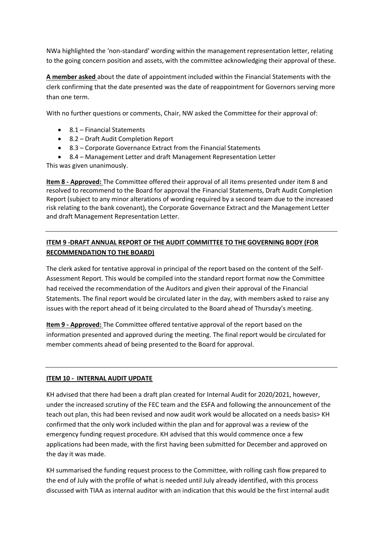NWa highlighted the 'non-standard' wording within the management representation letter, relating to the going concern position and assets, with the committee acknowledging their approval of these.

**A member asked** about the date of appointment included within the Financial Statements with the clerk confirming that the date presented was the date of reappointment for Governors serving more than one term.

With no further questions or comments, Chair, NW asked the Committee for their approval of:

- 8.1 Financial Statements
- 8.2 Draft Audit Completion Report
- 8.3 Corporate Governance Extract from the Financial Statements
- 8.4 Management Letter and draft Management Representation Letter

This was given unanimously.

**Item 8 - Approved:** The Committee offered their approval of all items presented under item 8 and resolved to recommend to the Board for approval the Financial Statements, Draft Audit Completion Report (subject to any minor alterations of wording required by a second team due to the increased risk relating to the bank covenant), the Corporate Governance Extract and the Management Letter and draft Management Representation Letter.

# **ITEM 9 -DRAFT ANNUAL REPORT OF THE AUDIT COMMITTEE TO THE GOVERNING BODY (FOR RECOMMENDATION TO THE BOARD)**

The clerk asked for tentative approval in principal of the report based on the content of the Self-Assessment Report. This would be compiled into the standard report format now the Committee had received the recommendation of the Auditors and given their approval of the Financial Statements. The final report would be circulated later in the day, with members asked to raise any issues with the report ahead of it being circulated to the Board ahead of Thursday's meeting.

**Item 9 - Approved:** The Committee offered tentative approval of the report based on the information presented and approved during the meeting. The final report would be circulated for member comments ahead of being presented to the Board for approval.

#### **ITEM 10 - INTERNAL AUDIT UPDATE**

KH advised that there had been a draft plan created for Internal Audit for 2020/2021, however, under the increased scrutiny of the FEC team and the ESFA and following the announcement of the teach out plan, this had been revised and now audit work would be allocated on a needs basis> KH confirmed that the only work included within the plan and for approval was a review of the emergency funding request procedure. KH advised that this would commence once a few applications had been made, with the first having been submitted for December and approved on the day it was made.

KH summarised the funding request process to the Committee, with rolling cash flow prepared to the end of July with the profile of what is needed until July already identified, with this process discussed with TIAA as internal auditor with an indication that this would be the first internal audit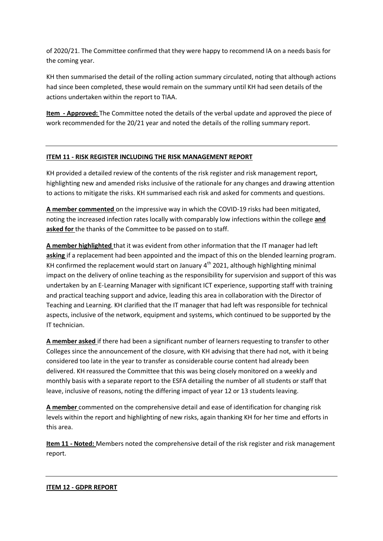of 2020/21. The Committee confirmed that they were happy to recommend IA on a needs basis for the coming year.

KH then summarised the detail of the rolling action summary circulated, noting that although actions had since been completed, these would remain on the summary until KH had seen details of the actions undertaken within the report to TIAA.

**Item - Approved:** The Committee noted the details of the verbal update and approved the piece of work recommended for the 20/21 year and noted the details of the rolling summary report.

### **ITEM 11 - RISK REGISTER INCLUDING THE RISK MANAGEMENT REPORT**

KH provided a detailed review of the contents of the risk register and risk management report, highlighting new and amended risks inclusive of the rationale for any changes and drawing attention to actions to mitigate the risks. KH summarised each risk and asked for comments and questions.

**A member commented** on the impressive way in which the COVID-19 risks had been mitigated, noting the increased infection rates locally with comparably low infections within the college **and asked for** the thanks of the Committee to be passed on to staff.

**A member highlighted** that it was evident from other information that the IT manager had left **asking** if a replacement had been appointed and the impact of this on the blended learning program. KH confirmed the replacement would start on January  $4<sup>th</sup>$  2021, although highlighting minimal impact on the delivery of online teaching as the responsibility for supervision and support of this was undertaken by an E-Learning Manager with significant ICT experience, supporting staff with training and practical teaching support and advice, leading this area in collaboration with the Director of Teaching and Learning. KH clarified that the IT manager that had left was responsible for technical aspects, inclusive of the network, equipment and systems, which continued to be supported by the IT technician.

**A member asked** if there had been a significant number of learners requesting to transfer to other Colleges since the announcement of the closure, with KH advising that there had not, with it being considered too late in the year to transfer as considerable course content had already been delivered. KH reassured the Committee that this was being closely monitored on a weekly and monthly basis with a separate report to the ESFA detailing the number of all students or staff that leave, inclusive of reasons, noting the differing impact of year 12 or 13 students leaving.

**A member** commented on the comprehensive detail and ease of identification for changing risk levels within the report and highlighting of new risks, again thanking KH for her time and efforts in this area.

**Item 11 - Noted:** Members noted the comprehensive detail of the risk register and risk management report.

#### **ITEM 12 - GDPR REPORT**